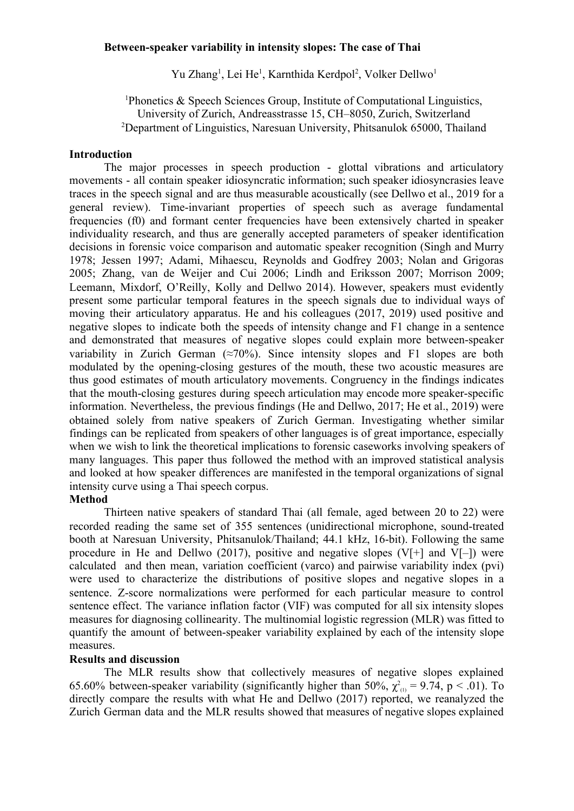#### **Between-speaker variability in intensity slopes: The case of Thai**

Yu Zhang<sup>1</sup>, Lei He<sup>1</sup>, Karnthida Kerdpol<sup>2</sup>, Volker Dellwo<sup>1</sup>

<sup>1</sup>Phonetics  $\&$  Speech Sciences Group, Institute of Computational Linguistics, University of Zurich, Andreasstrasse 15, CH–8050, Zurich, Switzerland <sup>2</sup>Department of Linguistics, Naresuan University, Phitsanulok 65000, Thailand

#### **Introduction**

The major processes in speech production - glottal vibrations and articulatory movements - all contain speaker idiosyncratic information; such speaker idiosyncrasies leave traces in the speech signal and are thus measurable acoustically (see Dellwo et al., 2019 for a general review). Time-invariant properties of speech such as average fundamental frequencies (f0) and formant center frequencies have been extensively charted in speaker individuality research, and thus are generally accepted parameters of speaker identification decisions in forensic voice comparison and automatic speaker recognition (Singh and Murry 1978; Jessen 1997; Adami, Mihaescu, Reynolds and Godfrey 2003; Nolan and Grigoras 2005; Zhang, van de Weijer and Cui 2006; Lindh and Eriksson 2007; Morrison 2009; Leemann, Mixdorf, O'Reilly, Kolly and Dellwo 2014). However, speakers must evidently present some particular temporal features in the speech signals due to individual ways of moving their articulatory apparatus. He and his colleagues (2017, 2019) used positive and negative slopes to indicate both the speeds of intensity change and F1 change in a sentence and demonstrated that measures of negative slopes could explain more between-speaker variability in Zurich German  $(\approx 70\%)$ . Since intensity slopes and F1 slopes are both modulated by the opening-closing gestures of the mouth, these two acoustic measures are thus good estimates of mouth articulatory movements. Congruency in the findings indicates that the mouth-closing gestures during speech articulation may encode more speaker-specific information. Nevertheless, the previous findings (He and Dellwo, 2017; He et al., 2019) were obtained solely from native speakers of Zurich German. Investigating whether similar findings can be replicated from speakers of other languages is of great importance, especially when we wish to link the theoretical implications to forensic caseworks involving speakers of many languages. This paper thus followed the method with an improved statistical analysis and looked at how speaker differences are manifested in the temporal organizations of signal intensity curve using a Thai speech corpus.

## **Method**

Thirteen native speakers of standard Thai (all female, aged between 20 to 22) were recorded reading the same set of 355 sentences (unidirectional microphone, sound-treated booth at Naresuan University, Phitsanulok/Thailand; 44.1 kHz, 16-bit). Following the same procedure in He and Dellwo (2017), positive and negative slopes (V[+] and V[–]) were calculated and then mean, variation coefficient (varco) and pairwise variability index (pvi) were used to characterize the distributions of positive slopes and negative slopes in a sentence. Z-score normalizations were performed for each particular measure to control sentence effect. The variance inflation factor (VIF) was computed for all six intensity slopes measures for diagnosing collinearity. The multinomial logistic regression (MLR) was fitted to quantify the amount of between-speaker variability explained by each of the intensity slope measures.

## **Results and discussion**

The MLR results show that collectively measures of negative slopes explained 65.60% between-speaker variability (significantly higher than 50%,  $\chi^2_{(1)} = 9.74$ , p < .01). To directly compare the results with what He and Dellwo (2017) reported, we reanalyzed the Zurich German data and the MLR results showed that measures of negative slopes explained